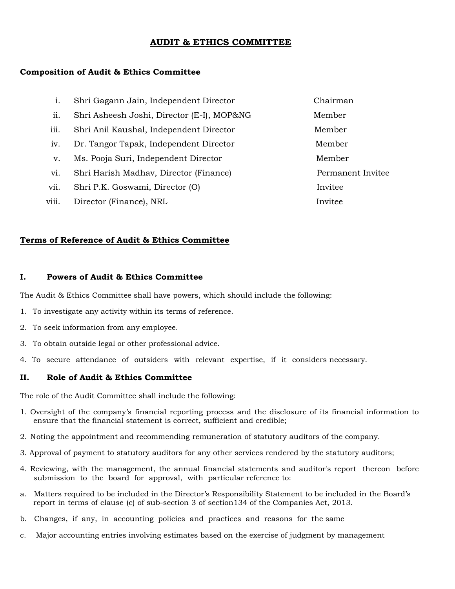# **AUDIT & ETHICS COMMITTEE**

## **Composition of Audit & Ethics Committee**

| 1.    | Shri Gagann Jain, Independent Director     | Chairman          |
|-------|--------------------------------------------|-------------------|
| ii.   | Shri Asheesh Joshi, Director (E-I), MOP&NG | Member            |
| iii.  | Shri Anil Kaushal, Independent Director    | Member            |
| iv.   | Dr. Tangor Tapak, Independent Director     | Member            |
| v.    | Ms. Pooja Suri, Independent Director       | Member            |
| vi.   | Shri Harish Madhav, Director (Finance)     | Permanent Invitee |
| vii.  | Shri P.K. Goswami, Director (O)            | Invitee           |
| viii. | Director (Finance), NRL                    | Invitee           |

## **Terms of Reference of Audit & Ethics Committee**

#### **I. Powers of Audit & Ethics Committee**

The Audit & Ethics Committee shall have powers, which should include the following:

- 1. To investigate any activity within its terms of reference.
- 2. To seek information from any employee.
- 3. To obtain outside legal or other professional advice.
- 4. To secure attendance of outsiders with relevant expertise, if it considers necessary.

#### **II. Role of Audit & Ethics Committee**

The role of the Audit Committee shall include the following:

- 1. Oversight of the company's financial reporting process and the disclosure of its financial information to ensure that the financial statement is correct, sufficient and credible;
- 2. Noting the appointment and recommending remuneration of statutory auditors of the company.
- 3. Approval of payment to statutory auditors for any other services rendered by the statutory auditors;
- 4. Reviewing, with the management, the annual financial statements and auditor's report thereon before submission to the board for approval, with particular reference to:
- a. Matters required to be included in the Director's Responsibility Statement to be included in the Board's report in terms of clause (c) of sub-section 3 of section134 of the Companies Act, 2013.
- b. Changes, if any, in accounting policies and practices and reasons for the same
- c. Major accounting entries involving estimates based on the exercise of judgment by management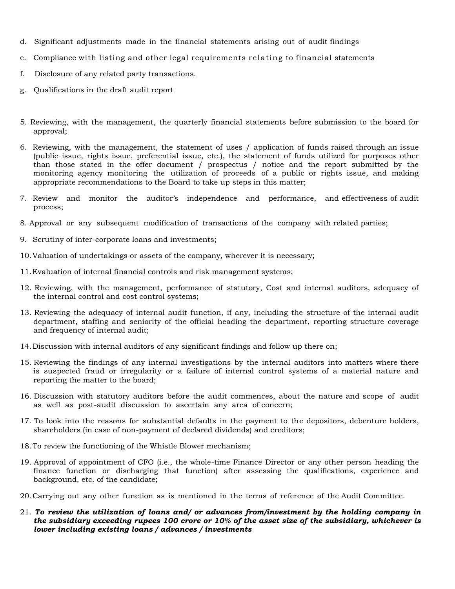- d. Significant adjustments made in the financial statements arising out of audit findings
- e. Compliance with listing and other legal requirements relating to financial statements
- f. Disclosure of any related party transactions.
- g. Qualifications in the draft audit report
- 5. Reviewing, with the management, the quarterly financial statements before submission to the board for approval;
- 6. Reviewing, with the management, the statement of uses / application of funds raised through an issue (public issue, rights issue, preferential issue, etc.), the statement of funds utilized for purposes other than those stated in the offer document / prospectus / notice and the report submitted by the monitoring agency monitoring the utilization of proceeds of a public or rights issue, and making appropriate recommendations to the Board to take up steps in this matter;
- 7. Review and monitor the auditor's independence and performance, and effectiveness of audit process;
- 8. Approval or any subsequent modification of transactions of the company with related parties;
- 9. Scrutiny of inter-corporate loans and investments;
- 10.Valuation of undertakings or assets of the company, wherever it is necessary;
- 11.Evaluation of internal financial controls and risk management systems;
- 12. Reviewing, with the management, performance of statutory, Cost and internal auditors, adequacy of the internal control and cost control systems;
- 13. Reviewing the adequacy of internal audit function, if any, including the structure of the internal audit department, staffing and seniority of the official heading the department, reporting structure coverage and frequency of internal audit;
- 14.Discussion with internal auditors of any significant findings and follow up there on;
- 15. Reviewing the findings of any internal investigations by the internal auditors into matters where there is suspected fraud or irregularity or a failure of internal control systems of a material nature and reporting the matter to the board;
- 16. Discussion with statutory auditors before the audit commences, about the nature and scope of audit as well as post-audit discussion to ascertain any area of concern;
- 17. To look into the reasons for substantial defaults in the payment to the depositors, debenture holders, shareholders (in case of non-payment of declared dividends) and creditors;
- 18.To review the functioning of the Whistle Blower mechanism;
- 19. Approval of appointment of CFO (i.e., the whole-time Finance Director or any other person heading the finance function or discharging that function) after assessing the qualifications, experience and background, etc. of the candidate;
- 20.Carrying out any other function as is mentioned in the terms of reference of the Audit Committee.
- 21. *To review the utilization of loans and/ or advances from/investment by the holding company in the subsidiary exceeding rupees 100 crore or 10% of the asset size of the subsidiary, whichever is lower including existing loans / advances / investments*